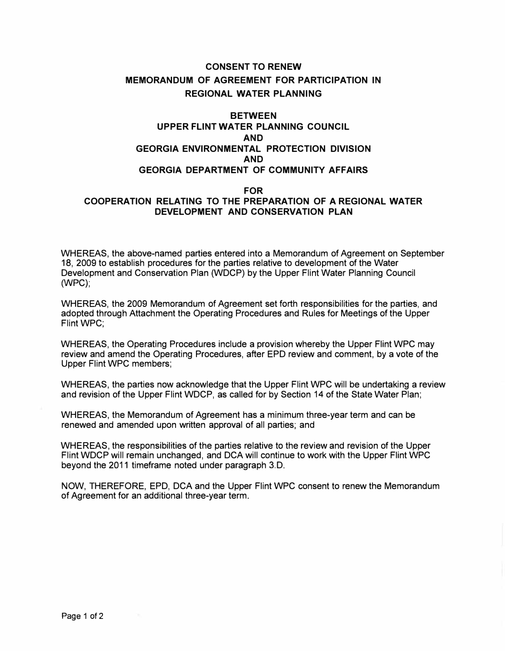## **CONSENT TO RENEW MEMORANDUM OF AGREEMENT FOR PARTICIPATION IN REGIONAL WATER PLANNING**

## **BETWEEN UPPER FLINT WATER PLANNING COUNCIL AND GEORGIA ENVIRONMENTAL PROTECTION DIVISION AND GEORGIA DEPARTMENT OF COMMUNITY AFFAIRS**

## **FOR COOPERATION RELATING TO THE PREPARATION OF A REGIONAL WATER DEVELOPMENT AND CONSERVATION PLAN**

WHEREAS, the above-named parties entered into a Memorandum of Agreement on September 18, 2009 to establish procedures for the parties relative to development of the Water Development and Conservation Plan (WDCP) by the Upper Flint Water Planning Council **(WPC);** 

WHEREAS, the 2009 Memorandum of Agreement set forth responsibilities for the parties, and adopted through Attachment the Operating Procedures and Rules for Meetings of the Upper Flint WPC;

WHEREAS, the Operating Procedures include a provision whereby the Upper Flint WPC may review and amend the Operating Procedures, after EPD review and comment, by a vote of the Upper Flint WPC members;

WHEREAS, the parties now acknowledge that the Upper Flint WPC will be undertaking a review and revision of the Upper Flint WDCP, as called for by Section 14 of the State Water Plan;

WHEREAS, the Memorandum of Agreement has a minimum three-year term and can be renewed and amended upon written approval of all parties; and

WHEREAS, the responsibilities of the parties relative to the review and revision of the Upper Flint WDCP will remain unchanged, and DCA will continue to work with the Upper Flint WPC beyond the 2011 timeframe noted under paragraph 3.D.

NOW, THEREFORE, EPD, DCA and the Upper Flint WPC consent to renew the Memorandum of Agreement for an additional three-year term.